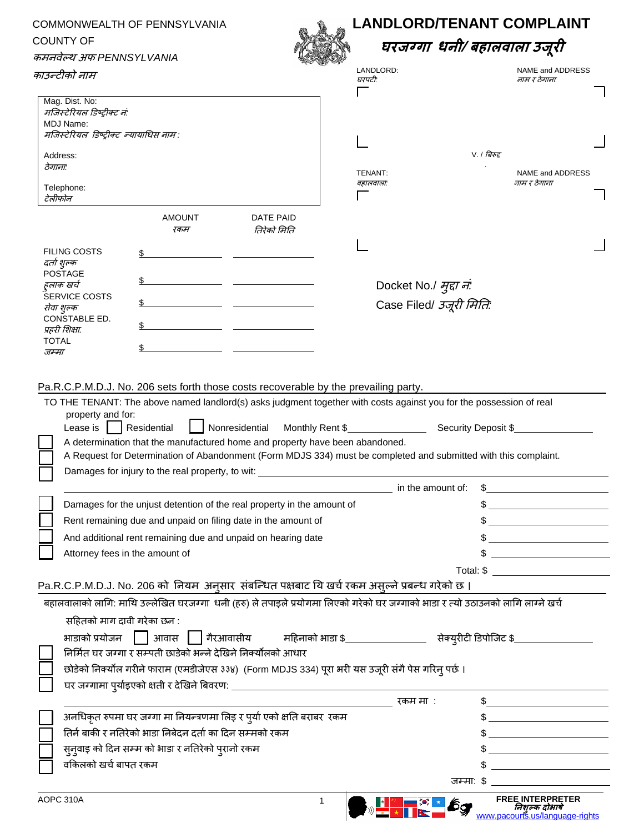| COMMONWEALTH OF PENNSYLVANIA<br><b>COUNTY OF</b>     |                                                                                                                                                                                                                                                                                                                                                                                                                                                                |                          | <b>LANDLORD/TENANT COMPLAINT</b><br>घरजग्गा धनी/ बहालवाला उजूरी |                                                                                                                                                                                                                                                                                                                                                                                                                                  |  |
|------------------------------------------------------|----------------------------------------------------------------------------------------------------------------------------------------------------------------------------------------------------------------------------------------------------------------------------------------------------------------------------------------------------------------------------------------------------------------------------------------------------------------|--------------------------|-----------------------------------------------------------------|----------------------------------------------------------------------------------------------------------------------------------------------------------------------------------------------------------------------------------------------------------------------------------------------------------------------------------------------------------------------------------------------------------------------------------|--|
|                                                      |                                                                                                                                                                                                                                                                                                                                                                                                                                                                |                          |                                                                 |                                                                                                                                                                                                                                                                                                                                                                                                                                  |  |
| काउन्टीको नाम                                        |                                                                                                                                                                                                                                                                                                                                                                                                                                                                |                          | LANDLORD:<br>घरपटी:                                             | NAME and ADDRESS<br>नाम र ठेगाना                                                                                                                                                                                                                                                                                                                                                                                                 |  |
| Mag. Dist. No:                                       |                                                                                                                                                                                                                                                                                                                                                                                                                                                                |                          |                                                                 |                                                                                                                                                                                                                                                                                                                                                                                                                                  |  |
| मजिस्टेरियल डिष्ट्रीक्ट नं:                          |                                                                                                                                                                                                                                                                                                                                                                                                                                                                |                          |                                                                 |                                                                                                                                                                                                                                                                                                                                                                                                                                  |  |
| MDJ Name:<br>मजिस्टेरियल डिष्ट्रीक्ट न्यायाधिस नाम : |                                                                                                                                                                                                                                                                                                                                                                                                                                                                |                          |                                                                 |                                                                                                                                                                                                                                                                                                                                                                                                                                  |  |
|                                                      |                                                                                                                                                                                                                                                                                                                                                                                                                                                                |                          |                                                                 |                                                                                                                                                                                                                                                                                                                                                                                                                                  |  |
| Address:                                             |                                                                                                                                                                                                                                                                                                                                                                                                                                                                |                          |                                                                 | $V.$ / बिरुद्द                                                                                                                                                                                                                                                                                                                                                                                                                   |  |
| ठेगाना:                                              |                                                                                                                                                                                                                                                                                                                                                                                                                                                                |                          | TENANT:                                                         | NAME and ADDRESS                                                                                                                                                                                                                                                                                                                                                                                                                 |  |
| Telephone:                                           |                                                                                                                                                                                                                                                                                                                                                                                                                                                                |                          | बहालवाला:                                                       | नाम र ठेगाना                                                                                                                                                                                                                                                                                                                                                                                                                     |  |
| टेलीफोन                                              |                                                                                                                                                                                                                                                                                                                                                                                                                                                                |                          |                                                                 |                                                                                                                                                                                                                                                                                                                                                                                                                                  |  |
|                                                      | <b>AMOUNT</b><br>रकम                                                                                                                                                                                                                                                                                                                                                                                                                                           | DATE PAID<br>तिरेको मिति |                                                                 |                                                                                                                                                                                                                                                                                                                                                                                                                                  |  |
| <b>FILING COSTS</b>                                  |                                                                                                                                                                                                                                                                                                                                                                                                                                                                |                          |                                                                 |                                                                                                                                                                                                                                                                                                                                                                                                                                  |  |
| दर्ता शुल्क                                          |                                                                                                                                                                                                                                                                                                                                                                                                                                                                |                          |                                                                 |                                                                                                                                                                                                                                                                                                                                                                                                                                  |  |
| <b>POSTAGE</b>                                       |                                                                                                                                                                                                                                                                                                                                                                                                                                                                |                          |                                                                 |                                                                                                                                                                                                                                                                                                                                                                                                                                  |  |
| हलाक खर्च                                            |                                                                                                                                                                                                                                                                                                                                                                                                                                                                |                          | Docket No./ मुद्दा न:                                           |                                                                                                                                                                                                                                                                                                                                                                                                                                  |  |
| <b>SERVICE COSTS</b><br>सेवा शुल्क                   |                                                                                                                                                                                                                                                                                                                                                                                                                                                                |                          | Case Filed/ उजूरी मिति:                                         |                                                                                                                                                                                                                                                                                                                                                                                                                                  |  |
| CONSTABLE ED.                                        |                                                                                                                                                                                                                                                                                                                                                                                                                                                                |                          |                                                                 |                                                                                                                                                                                                                                                                                                                                                                                                                                  |  |
| प्रहरी शिक्षा.                                       |                                                                                                                                                                                                                                                                                                                                                                                                                                                                |                          |                                                                 |                                                                                                                                                                                                                                                                                                                                                                                                                                  |  |
| <b>TOTAL</b><br>जम्मा                                |                                                                                                                                                                                                                                                                                                                                                                                                                                                                |                          |                                                                 |                                                                                                                                                                                                                                                                                                                                                                                                                                  |  |
|                                                      | A determination that the manufactured home and property have been abandoned.<br>A Request for Determination of Abandonment (Form MDJS 334) must be completed and submitted with this complaint.<br>Damages for injury to the real property, to wit:<br>Damages for the unjust detention of the real property in the amount of<br>Rent remaining due and unpaid on filing date in the amount of<br>And additional rent remaining due and unpaid on hearing date |                          | in the amount of:                                               |                                                                                                                                                                                                                                                                                                                                                                                                                                  |  |
|                                                      | Attorney fees in the amount of                                                                                                                                                                                                                                                                                                                                                                                                                                 |                          |                                                                 |                                                                                                                                                                                                                                                                                                                                                                                                                                  |  |
|                                                      |                                                                                                                                                                                                                                                                                                                                                                                                                                                                |                          |                                                                 |                                                                                                                                                                                                                                                                                                                                                                                                                                  |  |
|                                                      | Pa.R.C.P.M.D.J. No. 206 को नियम अनुसार संबन्धित पक्षबाट यि खर्च रकम असुल्ने प्रबन्ध गरेको छ ।                                                                                                                                                                                                                                                                                                                                                                  |                          |                                                                 |                                                                                                                                                                                                                                                                                                                                                                                                                                  |  |
|                                                      | बहालवालाको लागि: माथि उल्लेखित घरजग्गा  धनी (हरु) ले तपाइले प्रयोगमा लिएको गरेको घर जग्गाको भाडा र त्यो उठाउनको लागि लाग्ने खर्च                                                                                                                                                                                                                                                                                                                               |                          |                                                                 |                                                                                                                                                                                                                                                                                                                                                                                                                                  |  |
|                                                      | सहितको माग दावी गरेका छन :                                                                                                                                                                                                                                                                                                                                                                                                                                     |                          |                                                                 |                                                                                                                                                                                                                                                                                                                                                                                                                                  |  |
|                                                      | भाडाको प्रयोजन         आवास                                                                                                                                                                                                                                                                                                                                                                                                                                    |                          |                                                                 |                                                                                                                                                                                                                                                                                                                                                                                                                                  |  |
|                                                      | निर्मित घर जग्गा र सम्पती छाडेको भन्ने देखिने निक्योत्नको आधार                                                                                                                                                                                                                                                                                                                                                                                                 |                          |                                                                 |                                                                                                                                                                                                                                                                                                                                                                                                                                  |  |
|                                                      | छोड़ेको निक्योंल गरीने फाराम (एमडीजेएस ३३४)  (Form MDJS 334) पूरा भरी यस उजूरी संगै पेस गरिन् पर्छ ।                                                                                                                                                                                                                                                                                                                                                           |                          |                                                                 |                                                                                                                                                                                                                                                                                                                                                                                                                                  |  |
|                                                      |                                                                                                                                                                                                                                                                                                                                                                                                                                                                |                          |                                                                 |                                                                                                                                                                                                                                                                                                                                                                                                                                  |  |
|                                                      |                                                                                                                                                                                                                                                                                                                                                                                                                                                                |                          | रकम मा :                                                        | $\sim$                                                                                                                                                                                                                                                                                                                                                                                                                           |  |
|                                                      | अनधिकृत रुपमा घर जग्गा मा नियन्त्रणमा लिइ र पुर्या एको क्षति बराबर  रकम                                                                                                                                                                                                                                                                                                                                                                                        |                          |                                                                 |                                                                                                                                                                                                                                                                                                                                                                                                                                  |  |
|                                                      | तिर्न बाकी र नतिरेको भाडा निबेदन दर्ता का दिन सम्मको रकम                                                                                                                                                                                                                                                                                                                                                                                                       |                          |                                                                 |                                                                                                                                                                                                                                                                                                                                                                                                                                  |  |
|                                                      |                                                                                                                                                                                                                                                                                                                                                                                                                                                                |                          |                                                                 | $\frac{1}{2}$                                                                                                                                                                                                                                                                                                                                                                                                                    |  |
|                                                      | सुनुवाइ को दिन सम्म को भाडा र नतिरेको पुरानो रकम                                                                                                                                                                                                                                                                                                                                                                                                               |                          |                                                                 |                                                                                                                                                                                                                                                                                                                                                                                                                                  |  |
| वकिलको खर्च बापत रकम                                 |                                                                                                                                                                                                                                                                                                                                                                                                                                                                |                          |                                                                 | $\overline{\phantom{a}}$ . The contract of $\overline{\phantom{a}}$ , $\overline{\phantom{a}}$ , $\overline{\phantom{a}}$ , $\overline{\phantom{a}}$ , $\overline{\phantom{a}}$ , $\overline{\phantom{a}}$ , $\overline{\phantom{a}}$ , $\overline{\phantom{a}}$ , $\overline{\phantom{a}}$ , $\overline{\phantom{a}}$ , $\overline{\phantom{a}}$ , $\overline{\phantom{a}}$ , $\overline{\phantom{a}}$ , $\overline{\phantom{a$ |  |
|                                                      |                                                                                                                                                                                                                                                                                                                                                                                                                                                                |                          |                                                                 | जम्मा: \$                                                                                                                                                                                                                                                                                                                                                                                                                        |  |
| AOPC 310A                                            |                                                                                                                                                                                                                                                                                                                                                                                                                                                                | 1                        |                                                                 | <b>FREE INTERPRETER</b><br>निशुल्क दोभाषे<br><u>www.pacourts.us/language-rights</u>                                                                                                                                                                                                                                                                                                                                              |  |